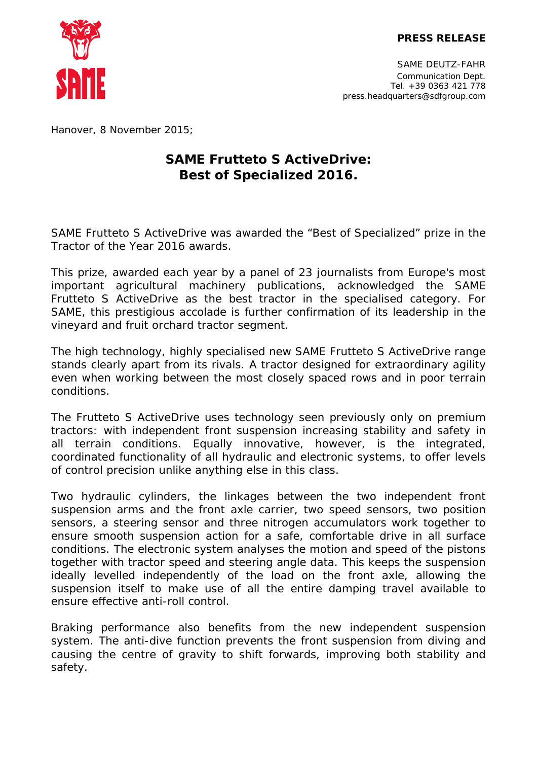

SAME DEUTZ-FAHR Communication Dept. Tel. +39 0363 421 778 press.headquarters@sdfgroup.com

*Hanover, 8 November 2015;*

## **SAME Frutteto S ActiveDrive: Best of Specialized 2016.**

SAME Frutteto S ActiveDrive was awarded the "Best of Specialized" prize in the Tractor of the Year 2016 awards.

This prize, awarded each year by a panel of 23 journalists from Europe's most important agricultural machinery publications, acknowledged the SAME Frutteto S ActiveDrive as the best tractor in the specialised category. For SAME, this prestigious accolade is further confirmation of its leadership in the vineyard and fruit orchard tractor segment.

The high technology, highly specialised new SAME Frutteto S ActiveDrive range stands clearly apart from its rivals. A tractor designed for extraordinary agility even when working between the most closely spaced rows and in poor terrain conditions.

The Frutteto S ActiveDrive uses technology seen previously only on premium tractors: with independent front suspension increasing stability and safety in all terrain conditions. Equally innovative, however, is the integrated, coordinated functionality of all hydraulic and electronic systems, to offer levels of control precision unlike anything else in this class.

Two hydraulic cylinders, the linkages between the two independent front suspension arms and the front axle carrier, two speed sensors, two position sensors, a steering sensor and three nitrogen accumulators work together to ensure smooth suspension action for a safe, comfortable drive in all surface conditions. The electronic system analyses the motion and speed of the pistons together with tractor speed and steering angle data. This keeps the suspension ideally levelled independently of the load on the front axle, allowing the suspension itself to make use of all the entire damping travel available to ensure effective anti-roll control.

Braking performance also benefits from the new independent suspension system. The anti-dive function prevents the front suspension from diving and causing the centre of gravity to shift forwards, improving both stability and safety.